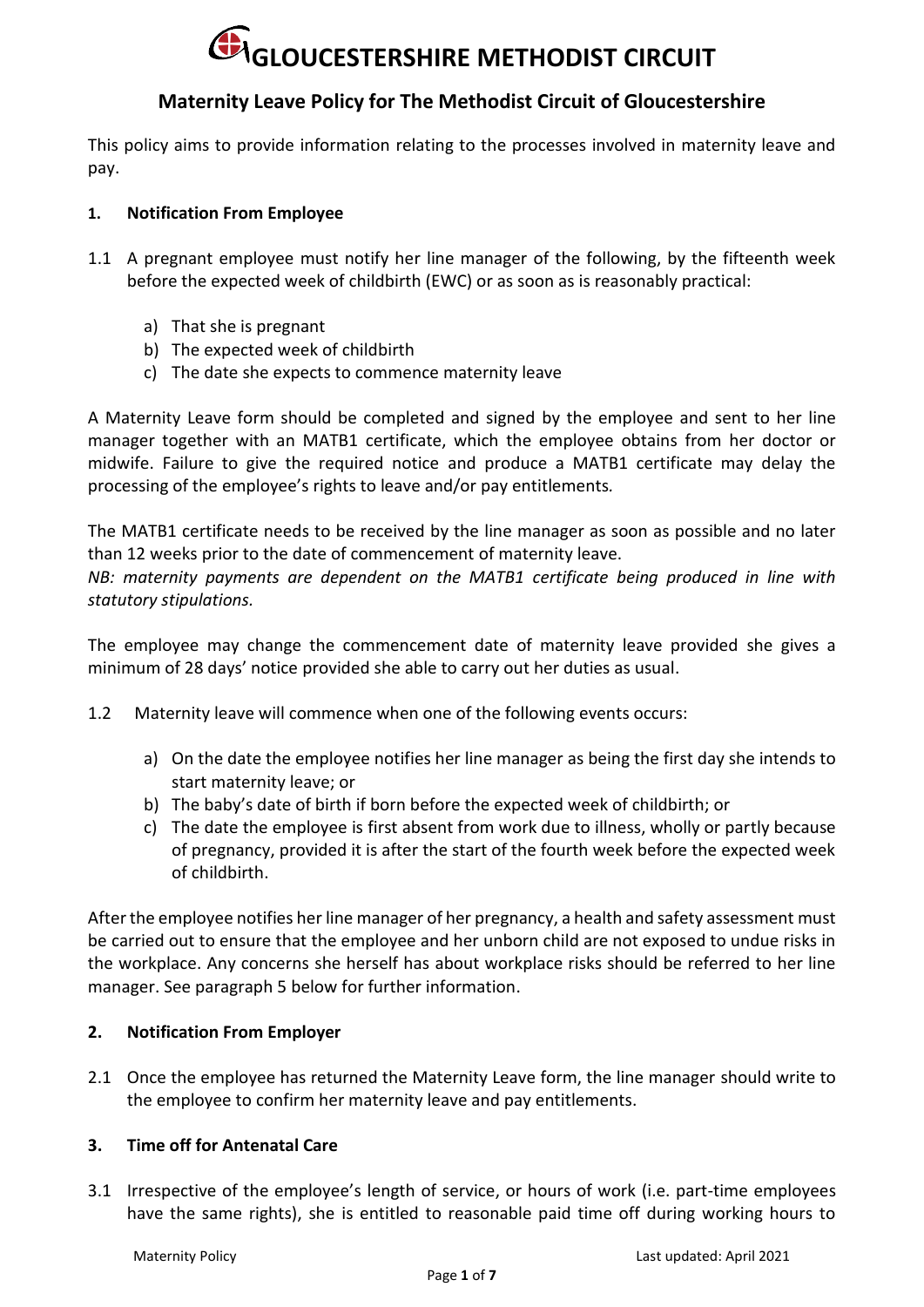# **Maternity Leave Policy for The Methodist Circuit of Gloucestershire**

This policy aims to provide information relating to the processes involved in maternity leave and pay.

#### **1. Notification From Employee**

- 1.1 A pregnant employee must notify her line manager of the following, by the fifteenth week before the expected week of childbirth (EWC) or as soon as is reasonably practical:
	- a) That she is pregnant
	- b) The expected week of childbirth
	- c) The date she expects to commence maternity leave

A Maternity Leave form should be completed and signed by the employee and sent to her line manager together with an MATB1 certificate, which the employee obtains from her doctor or midwife. Failure to give the required notice and produce a MATB1 certificate may delay the processing of the employee's rights to leave and/or pay entitlements*.*

The MATB1 certificate needs to be received by the line manager as soon as possible and no later than 12 weeks prior to the date of commencement of maternity leave.

*NB: maternity payments are dependent on the MATB1 certificate being produced in line with statutory stipulations.*

The employee may change the commencement date of maternity leave provided she gives a minimum of 28 days' notice provided she able to carry out her duties as usual.

- 1.2 Maternity leave will commence when one of the following events occurs:
	- a) On the date the employee notifies her line manager as being the first day she intends to start maternity leave; or
	- b) The baby's date of birth if born before the expected week of childbirth; or
	- c) The date the employee is first absent from work due to illness, wholly or partly because of pregnancy, provided it is after the start of the fourth week before the expected week of childbirth.

After the employee notifies her line manager of her pregnancy, a health and safety assessment must be carried out to ensure that the employee and her unborn child are not exposed to undue risks in the workplace. Any concerns she herself has about workplace risks should be referred to her line manager. See paragraph 5 below for further information.

## **2. Notification From Employer**

2.1 Once the employee has returned the Maternity Leave form, the line manager should write to the employee to confirm her maternity leave and pay entitlements.

#### **3. Time off for Antenatal Care**

3.1 Irrespective of the employee's length of service, or hours of work (i.e. part-time employees have the same rights), she is entitled to reasonable paid time off during working hours to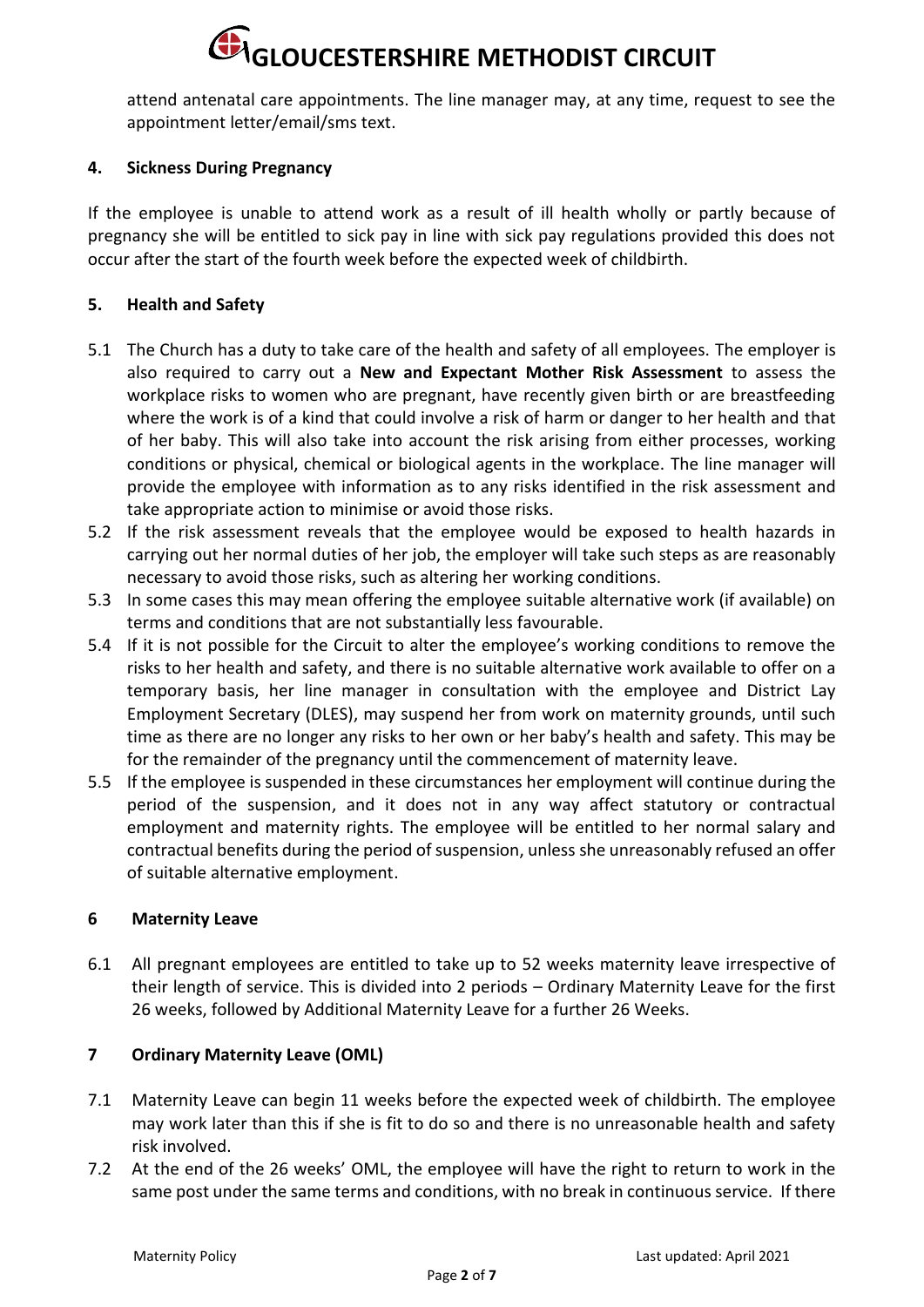attend antenatal care appointments. The line manager may, at any time, request to see the appointment letter/email/sms text.

### **4. Sickness During Pregnancy**

If the employee is unable to attend work as a result of ill health wholly or partly because of pregnancy she will be entitled to sick pay in line with sick pay regulations provided this does not occur after the start of the fourth week before the expected week of childbirth.

#### **5. Health and Safety**

- 5.1 The Church has a duty to take care of the health and safety of all employees. The employer is also required to carry out a **New and Expectant Mother Risk Assessment** to assess the workplace risks to women who are pregnant, have recently given birth or are breastfeeding where the work is of a kind that could involve a risk of harm or danger to her health and that of her baby. This will also take into account the risk arising from either processes, working conditions or physical, chemical or biological agents in the workplace. The line manager will provide the employee with information as to any risks identified in the risk assessment and take appropriate action to minimise or avoid those risks.
- 5.2 If the risk assessment reveals that the employee would be exposed to health hazards in carrying out her normal duties of her job, the employer will take such steps as are reasonably necessary to avoid those risks, such as altering her working conditions.
- 5.3 In some cases this may mean offering the employee suitable alternative work (if available) on terms and conditions that are not substantially less favourable.
- 5.4 If it is not possible for the Circuit to alter the employee's working conditions to remove the risks to her health and safety, and there is no suitable alternative work available to offer on a temporary basis, her line manager in consultation with the employee and District Lay Employment Secretary (DLES), may suspend her from work on maternity grounds, until such time as there are no longer any risks to her own or her baby's health and safety. This may be for the remainder of the pregnancy until the commencement of maternity leave.
- 5.5 If the employee is suspended in these circumstances her employment will continue during the period of the suspension, and it does not in any way affect statutory or contractual employment and maternity rights. The employee will be entitled to her normal salary and contractual benefits during the period of suspension, unless she unreasonably refused an offer of suitable alternative employment.

#### **6 Maternity Leave**

6.1 All pregnant employees are entitled to take up to 52 weeks maternity leave irrespective of their length of service. This is divided into 2 periods – Ordinary Maternity Leave for the first 26 weeks, followed by Additional Maternity Leave for a further 26 Weeks.

## **7 Ordinary Maternity Leave (OML)**

- 7.1 Maternity Leave can begin 11 weeks before the expected week of childbirth. The employee may work later than this if she is fit to do so and there is no unreasonable health and safety risk involved.
- 7.2 At the end of the 26 weeks' OML, the employee will have the right to return to work in the same post under the same terms and conditions, with no break in continuous service. If there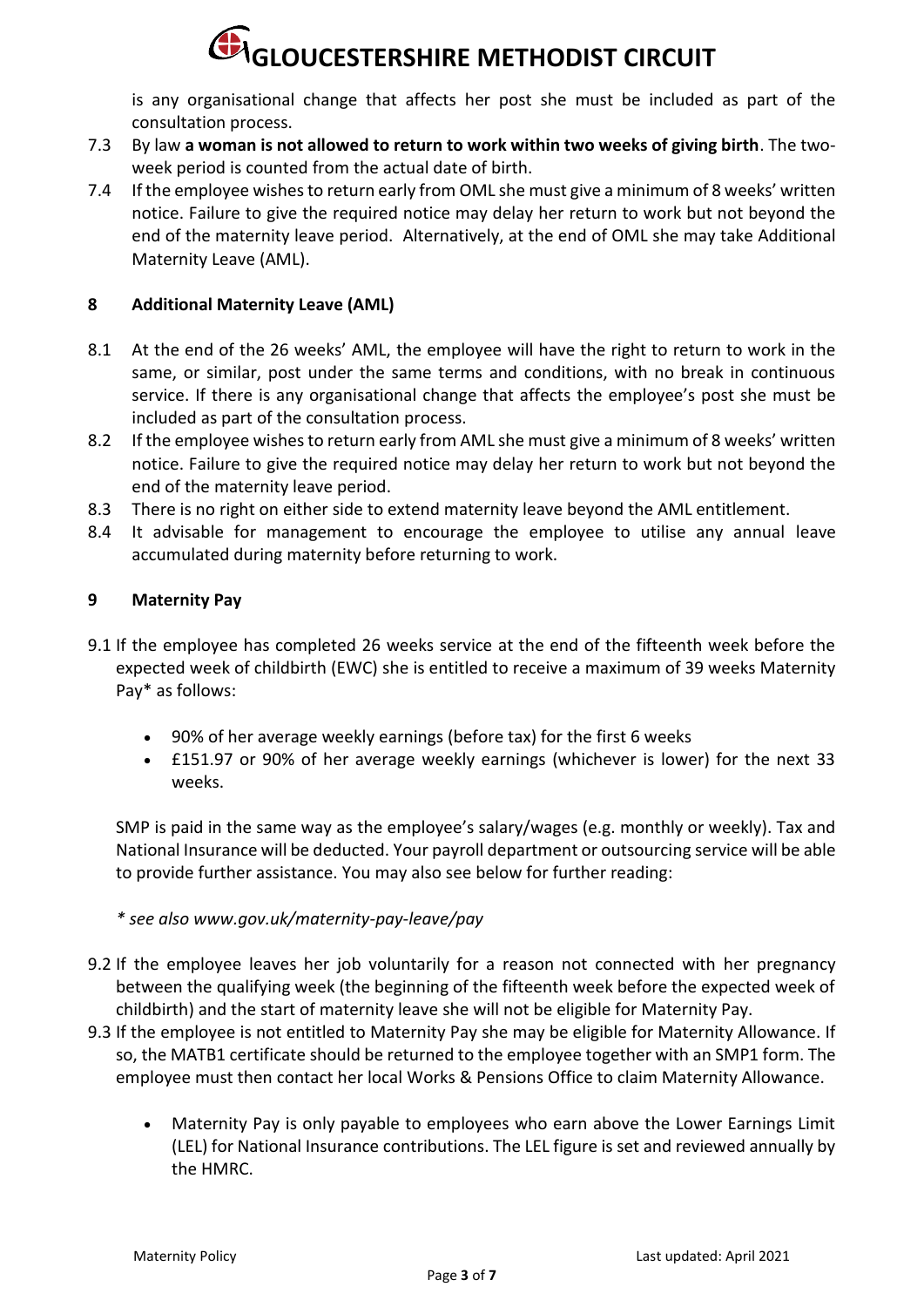is any organisational change that affects her post she must be included as part of the consultation process.

- 7.3 By law **a woman is not allowed to return to work within two weeks of giving birth**. The twoweek period is counted from the actual date of birth.
- 7.4 If the employee wishes to return early from OML she must give a minimum of 8 weeks' written notice. Failure to give the required notice may delay her return to work but not beyond the end of the maternity leave period. Alternatively, at the end of OML she may take Additional Maternity Leave (AML).

## **8 Additional Maternity Leave (AML)**

- 8.1 At the end of the 26 weeks' AML, the employee will have the right to return to work in the same, or similar, post under the same terms and conditions, with no break in continuous service. If there is any organisational change that affects the employee's post she must be included as part of the consultation process.
- 8.2 If the employee wishes to return early from AML she must give a minimum of 8 weeks' written notice. Failure to give the required notice may delay her return to work but not beyond the end of the maternity leave period.
- 8.3 There is no right on either side to extend maternity leave beyond the AML entitlement.
- 8.4 It advisable for management to encourage the employee to utilise any annual leave accumulated during maternity before returning to work.

## **9 Maternity Pay**

- 9.1 If the employee has completed 26 weeks service at the end of the fifteenth week before the expected week of childbirth (EWC) she is entitled to receive a maximum of 39 weeks Maternity Pay\* as follows:
	- 90% of her average weekly earnings (before tax) for the first 6 weeks
	- £151.97 or 90% of her average weekly earnings (whichever is lower) for the next 33 weeks.

SMP is paid in the same way as the employee's salary/wages (e.g. monthly or weekly). Tax and National Insurance will be deducted. Your payroll department or outsourcing service will be able to provide further assistance. You may also see below for further reading:

*\* see also www.gov.uk/maternity-pay-leave/pay*

- 9.2 If the employee leaves her job voluntarily for a reason not connected with her pregnancy between the qualifying week (the beginning of the fifteenth week before the expected week of childbirth) and the start of maternity leave she will not be eligible for Maternity Pay.
- 9.3 If the employee is not entitled to Maternity Pay she may be eligible for Maternity Allowance. If so, the MATB1 certificate should be returned to the employee together with an SMP1 form. The employee must then contact her local Works & Pensions Office to claim Maternity Allowance.
	- Maternity Pay is only payable to employees who earn above the Lower Earnings Limit (LEL) for National Insurance contributions. The LEL figure is set and reviewed annually by the HMRC.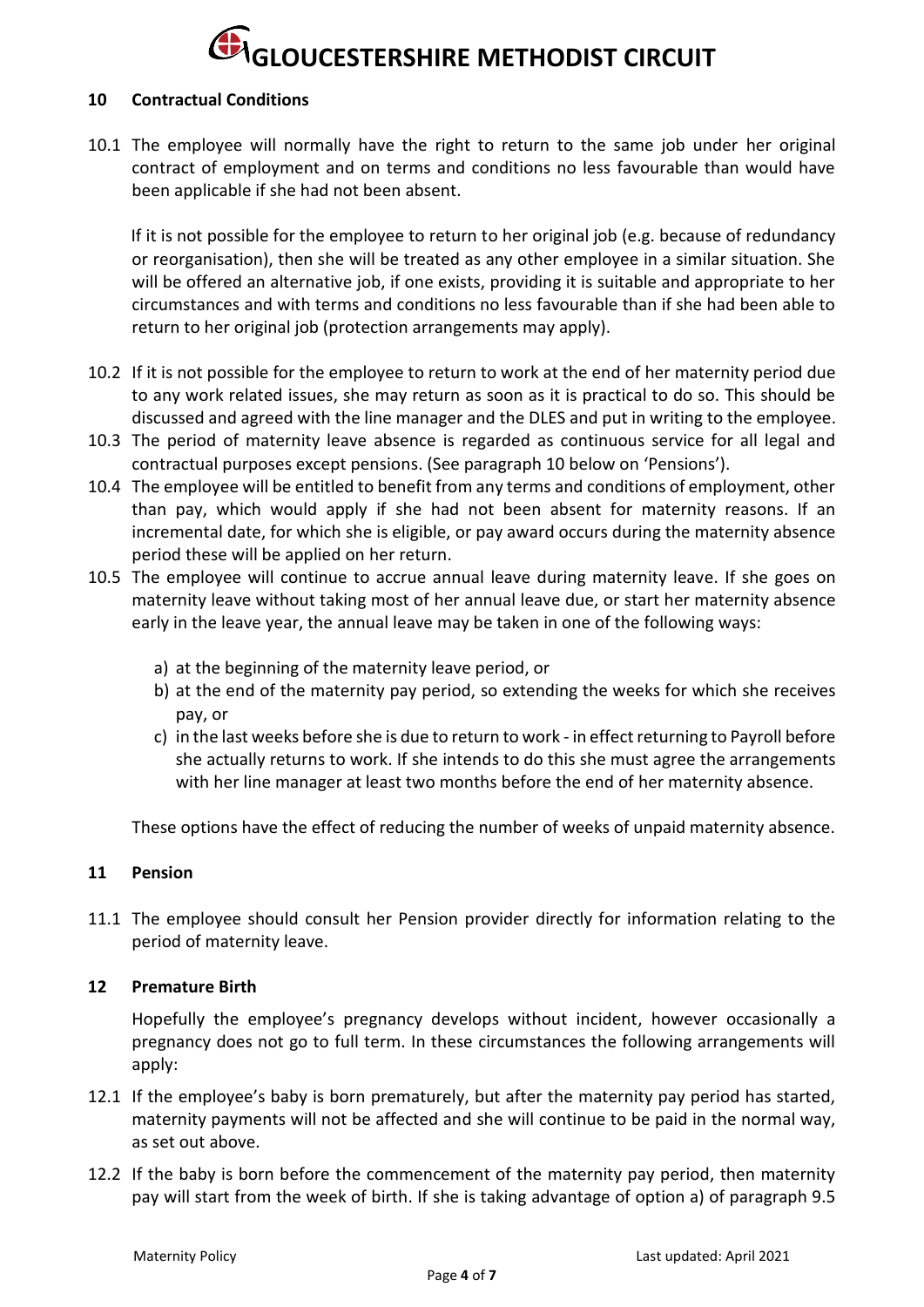#### **10 Contractual Conditions**

10.1 The employee will normally have the right to return to the same job under her original contract of employment and on terms and conditions no less favourable than would have been applicable if she had not been absent.

If it is not possible for the employee to return to her original job (e.g. because of redundancy or reorganisation), then she will be treated as any other employee in a similar situation. She will be offered an alternative job, if one exists, providing it is suitable and appropriate to her circumstances and with terms and conditions no less favourable than if she had been able to return to her original job (protection arrangements may apply).

- 10.2 If it is not possible for the employee to return to work at the end of her maternity period due to any work related issues, she may return as soon as it is practical to do so. This should be discussed and agreed with the line manager and the DLES and put in writing to the employee.
- 10.3 The period of maternity leave absence is regarded as continuous service for all legal and contractual purposes except pensions. (See paragraph 10 below on 'Pensions').
- 10.4 The employee will be entitled to benefit from any terms and conditions of employment, other than pay, which would apply if she had not been absent for maternity reasons. If an incremental date, for which she is eligible, or pay award occurs during the maternity absence period these will be applied on her return.
- 10.5 The employee will continue to accrue annual leave during maternity leave. If she goes on maternity leave without taking most of her annual leave due, or start her maternity absence early in the leave year, the annual leave may be taken in one of the following ways:
	- a) at the beginning of the maternity leave period, or
	- b) at the end of the maternity pay period, so extending the weeks for which she receives pay, or
	- c) in the last weeks before she is due to return to work in effect returning to Payroll before she actually returns to work. If she intends to do this she must agree the arrangements with her line manager at least two months before the end of her maternity absence.

These options have the effect of reducing the number of weeks of unpaid maternity absence.

#### **11 Pension**

11.1 The employee should consult her Pension provider directly for information relating to the period of maternity leave.

#### **12 Premature Birth**

Hopefully the employee's pregnancy develops without incident, however occasionally a pregnancy does not go to full term. In these circumstances the following arrangements will apply:

- 12.1 If the employee's baby is born prematurely, but after the maternity pay period has started, maternity payments will not be affected and she will continue to be paid in the normal way, as set out above.
- 12.2 If the baby is born before the commencement of the maternity pay period, then maternity pay will start from the week of birth. If she is taking advantage of option a) of paragraph 9.5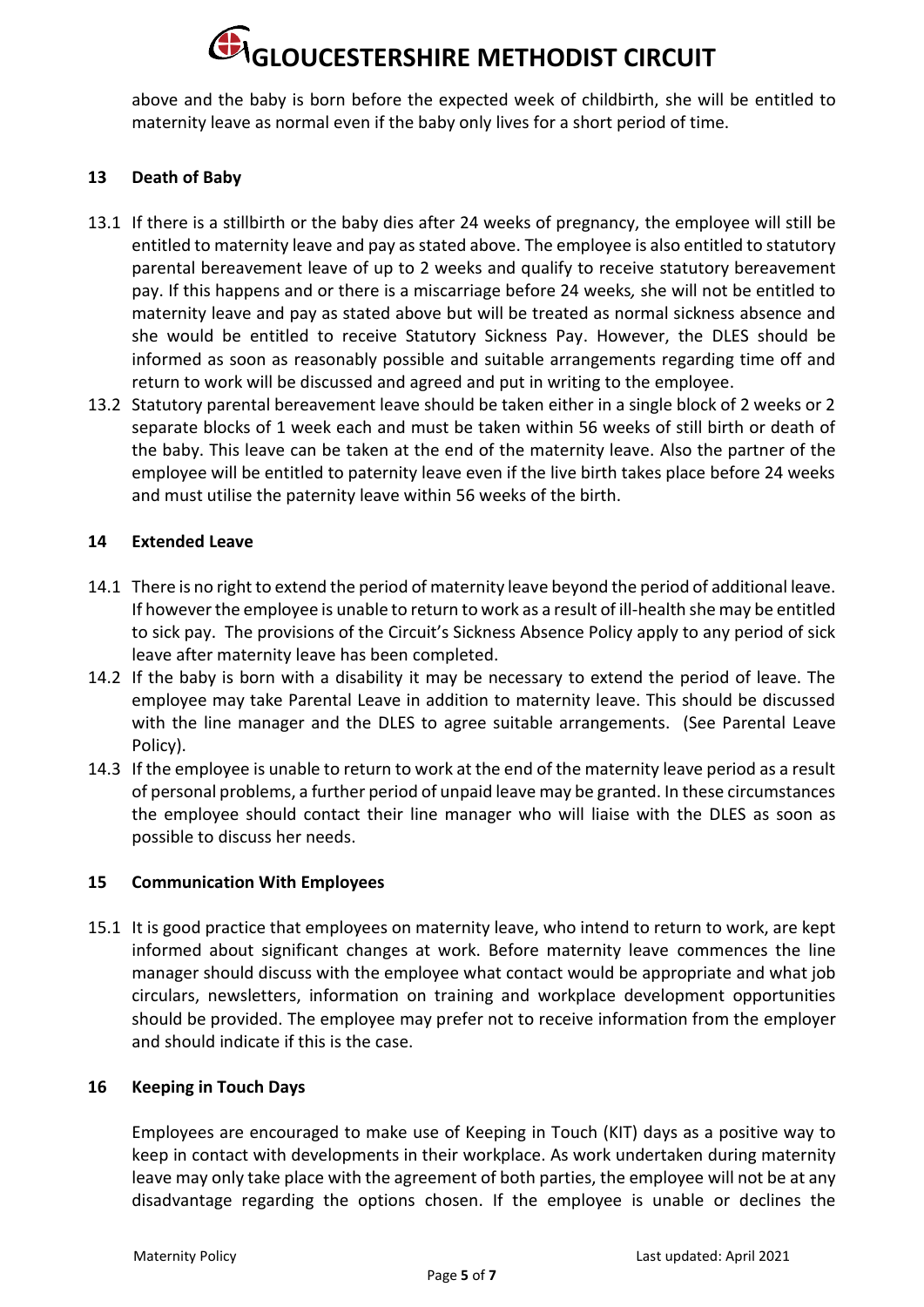above and the baby is born before the expected week of childbirth, she will be entitled to maternity leave as normal even if the baby only lives for a short period of time.

### **13 Death of Baby**

- 13.1 If there is a stillbirth or the baby dies after 24 weeks of pregnancy, the employee will still be entitled to maternity leave and pay as stated above. The employee is also entitled to statutory parental bereavement leave of up to 2 weeks and qualify to receive statutory bereavement pay. If this happens and or there is a miscarriage before 24 weeks*,* she will not be entitled to maternity leave and pay as stated above but will be treated as normal sickness absence and she would be entitled to receive Statutory Sickness Pay. However, the DLES should be informed as soon as reasonably possible and suitable arrangements regarding time off and return to work will be discussed and agreed and put in writing to the employee.
- 13.2 Statutory parental bereavement leave should be taken either in a single block of 2 weeks or 2 separate blocks of 1 week each and must be taken within 56 weeks of still birth or death of the baby. This leave can be taken at the end of the maternity leave. Also the partner of the employee will be entitled to paternity leave even if the live birth takes place before 24 weeks and must utilise the paternity leave within 56 weeks of the birth.

#### **14 Extended Leave**

- 14.1 There is no right to extend the period of maternity leave beyond the period of additional leave. If however the employee is unable to return to work as a result of ill-health she may be entitled to sick pay. The provisions of the Circuit's Sickness Absence Policy apply to any period of sick leave after maternity leave has been completed.
- 14.2 If the baby is born with a disability it may be necessary to extend the period of leave. The employee may take Parental Leave in addition to maternity leave. This should be discussed with the line manager and the DLES to agree suitable arrangements. (See Parental Leave Policy).
- 14.3 If the employee is unable to return to work at the end of the maternity leave period as a result of personal problems, a further period of unpaid leave may be granted. In these circumstances the employee should contact their line manager who will liaise with the DLES as soon as possible to discuss her needs.

#### **15 Communication With Employees**

15.1 It is good practice that employees on maternity leave, who intend to return to work, are kept informed about significant changes at work. Before maternity leave commences the line manager should discuss with the employee what contact would be appropriate and what job circulars, newsletters, information on training and workplace development opportunities should be provided. The employee may prefer not to receive information from the employer and should indicate if this is the case.

#### **16 Keeping in Touch Days**

Employees are encouraged to make use of Keeping in Touch (KIT) days as a positive way to keep in contact with developments in their workplace. As work undertaken during maternity leave may only take place with the agreement of both parties, the employee will not be at any disadvantage regarding the options chosen. If the employee is unable or declines the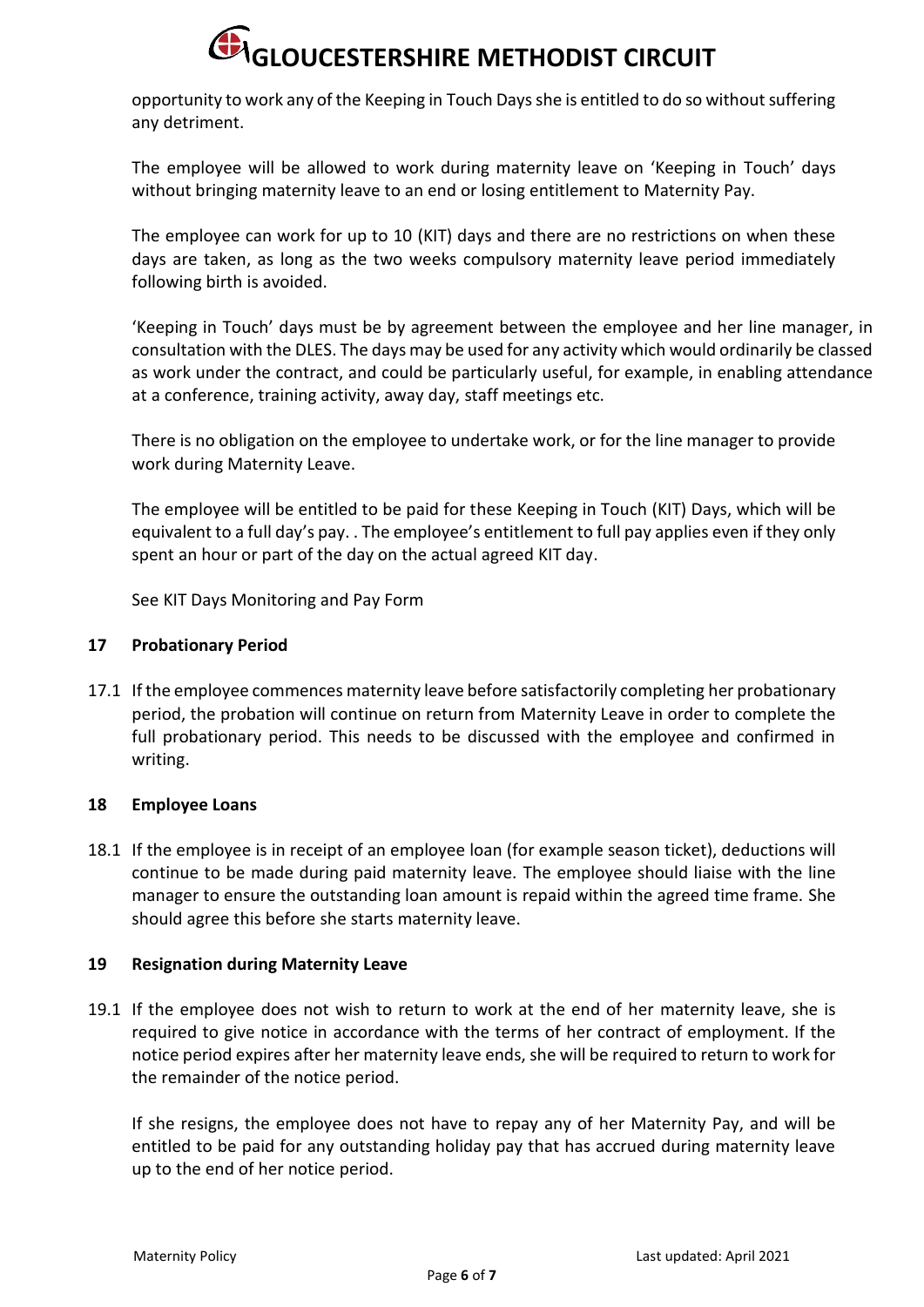opportunity to work any of the Keeping in Touch Daysshe is entitled to do so without suffering any detriment.

The employee will be allowed to work during maternity leave on 'Keeping in Touch' days without bringing maternity leave to an end or losing entitlement to Maternity Pay.

The employee can work for up to 10 (KIT) days and there are no restrictions on when these days are taken, as long as the two weeks compulsory maternity leave period immediately following birth is avoided.

'Keeping in Touch' days must be by agreement between the employee and her line manager, in consultation with the DLES. The days may be used for any activity which would ordinarily be classed as work under the contract, and could be particularly useful, for example, in enabling attendance at a conference, training activity, away day, staff meetings etc.

There is no obligation on the employee to undertake work, or for the line manager to provide work during Maternity Leave.

The employee will be entitled to be paid for these Keeping in Touch (KIT) Days, which will be equivalent to a full day's pay. . The employee's entitlement to full pay applies even if they only spent an hour or part of the day on the actual agreed KIT day.

See KIT Days Monitoring and Pay Form

#### **17 Probationary Period**

17.1 If the employee commences maternity leave before satisfactorily completing her probationary period, the probation will continue on return from Maternity Leave in order to complete the full probationary period. This needs to be discussed with the employee and confirmed in writing.

## **18 Employee Loans**

18.1 If the employee is in receipt of an employee loan (for example season ticket), deductions will continue to be made during paid maternity leave. The employee should liaise with the line manager to ensure the outstanding loan amount is repaid within the agreed time frame. She should agree this before she starts maternity leave.

#### **19 Resignation during Maternity Leave**

19.1 If the employee does not wish to return to work at the end of her maternity leave, she is required to give notice in accordance with the terms of her contract of employment. If the notice period expires after her maternity leave ends, she will be required to return to work for the remainder of the notice period.

If she resigns, the employee does not have to repay any of her Maternity Pay, and will be entitled to be paid for any outstanding holiday pay that has accrued during maternity leave up to the end of her notice period.